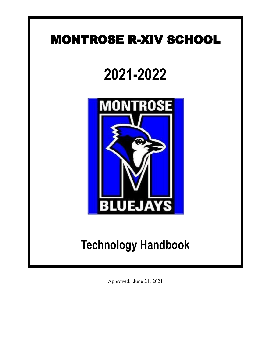## MONTROSE R-XIV SCHOOL

# **2021-2022**



## **Technology Handbook**

Approved: June 21, 2021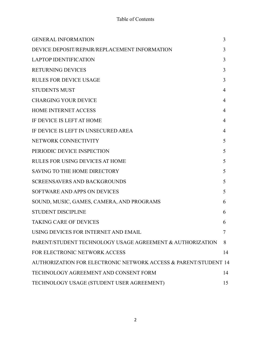#### Table of Contents

| <b>GENERAL INFORMATION</b>                                      | 3  |
|-----------------------------------------------------------------|----|
| DEVICE DEPOSIT/REPAIR/REPLACEMENT INFORMATION                   | 3  |
| <b>LAPTOP IDENTIFICATION</b>                                    | 3  |
| <b>RETURNING DEVICES</b>                                        | 3  |
| <b>RULES FOR DEVICE USAGE</b>                                   | 3  |
| <b>STUDENTS MUST</b>                                            | 4  |
| <b>CHARGING YOUR DEVICE</b>                                     | 4  |
| <b>HOME INTERNET ACCESS</b>                                     | 4  |
| IF DEVICE IS LEFT AT HOME                                       | 4  |
| IF DEVICE IS LEFT IN UNSECURED AREA                             | 4  |
| NETWORK CONNECTIVITY                                            | 5  |
| PERIODIC DEVICE INSPECTION                                      | 5  |
| <b>RULES FOR USING DEVICES AT HOME</b>                          | 5  |
| <b>SAVING TO THE HOME DIRECTORY</b>                             | 5  |
| <b>SCREENSAVERS AND BACKGROUNDS</b>                             | 5  |
| SOFTWARE AND APPS ON DEVICES                                    | 5  |
| SOUND, MUSIC, GAMES, CAMERA, AND PROGRAMS                       | 6  |
| <b>STUDENT DISCIPLINE</b>                                       | 6  |
| <b>TAKING CARE OF DEVICES</b>                                   | 6  |
| USING DEVICES FOR INTERNET AND EMAIL                            | 7  |
| PARENT/STUDENT TECHNOLOGY USAGE AGREEMENT & AUTHORIZATION       | 8  |
| FOR ELECTRONIC NETWORK ACCESS                                   | 14 |
| AUTHORIZATION FOR ELECTRONIC NETWORK ACCESS & PARENT/STUDENT 14 |    |
| TECHNOLOGY AGREEMENT AND CONSENT FORM                           | 14 |
| TECHNOLOGY USAGE (STUDENT USER AGREEMENT)                       | 15 |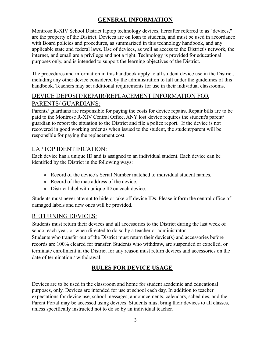#### **GENERAL INFORMATION**

Montrose R-XIV School District laptop technology devices, hereafter referred to as "devices," are the property of the District. Devices are on loan to students, and must be used in accordance with Board policies and procedures, as summarized in this technology handbook, and any applicable state and federal laws. Use of devices, as well as access to the District's network, the internet, and email are a privilege and not a right. Technology is provided for educational purposes only, and is intended to support the learning objectives of the District.

The procedures and information in this handbook apply to all student device use in the District, including any other device considered by the administration to fall under the guidelines of this handbook. Teachers may set additional requirements for use in their individual classrooms.

### DEVICE DEPOSIT/REPAIR/REPLACEMENT INFORMATION FOR PARENTS/ GUARDIANS:

Parents/ guardians are responsible for paying the costs for device repairs. Repair bills are to be paid to the Montrose R-XIV Central Office. ANY lost device requires the student's parent/ guardian to report the situation to the District and file a police report. If the device is not recovered in good working order as when issued to the student, the student/parent will be responsible for paying the replacement cost.

#### LAPTOP IDENTIFICATION:

Each device has a unique ID and is assigned to an individual student. Each device can be identified by the District in the following ways:

- Record of the device's Serial Number matched to individual student names.
- Record of the mac address of the device
- District label with unique ID on each device.

Students must never attempt to hide or take off device IDs. Please inform the central office of damaged labels and new ones will be provided.

#### RETURNING DEVICES:

Students must return their devices and all accessories to the District during the last week of school each year, or when directed to do so by a teacher or administrator.

Students who transfer out of the District must return their device(s) and accessories before records are 100% cleared for transfer. Students who withdraw, are suspended or expelled, or terminate enrollment in the District for any reason must return devices and accessories on the date of termination / withdrawal.

## **RULES FOR DEVICE USAGE**

Devices are to be used in the classroom and home for student academic and educational purposes, only. Devices are intended for use at school each day. In addition to teacher expectations for device use, school messages, announcements, calendars, schedules, and the Parent Portal may be accessed using devices. Students must bring their devices to all classes, unless specifically instructed not to do so by an individual teacher.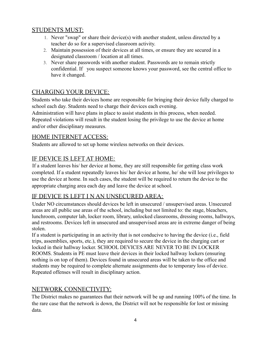#### STUDENTS MUST:

- 1. Never "swap" or share their device(s) with another student, unless directed by a teacher do so for a supervised classroom activity.
- 2. Maintain possession of their devices at all times, or ensure they are secured in a designated classroom / location at all times.
- 3. Never share passwords with another student. Passwords are to remain strictly confidential. If you suspect someone knows your password, see the central office to have it changed.

### CHARGING YOUR DEVICE:

Students who take their devices home are responsible for bringing their device fully charged to school each day. Students need to charge their devices each evening.

Administration will have plans in place to assist students in this process, when needed. Repeated violations will result in the student losing the privilege to use the device at home and/or other disciplinary measures.

#### HOME INTERNET ACCESS:

Students are allowed to set up home wireless networks on their devices.

#### IF DEVICE IS LEFT AT HOME:

If a student leaves his/ her device at home, they are still responsible for getting class work completed. If a student repeatedly leaves his/ her device at home, he/ she will lose privileges to use the device at home. In such cases, the student will be required to return the device to the appropriate charging area each day and leave the device at school.

#### IF DEVICE IS LEFT I N AN UNSECURED AREA:

Under NO circumstances should devices be left in unsecured / unsupervised areas. Unsecured areas are all public use areas of the school, including but not limited to: the stage, bleachers, lunchroom, computer lab, locker room, library, unlocked classrooms, dressing rooms, hallways, and restrooms. Devices left in unsecured and unsupervised areas are in extreme danger of being stolen.

If a student is participating in an activity that is not conducive to having the device (i.e., field trips, assemblies, sports, etc.), they are required to secure the device in the charging cart or locked in their hallway locker. SCHOOL DEVICES ARE NEVER TO BE IN LOCKER ROOMS. Students in PE must leave their devices in their locked hallway lockers (ensuring nothing is on top of them). Devices found in unsecured areas will be taken to the office and students may be required to complete alternate assignments due to temporary loss of device. Repeated offenses will result in disciplinary action.

#### NETWORK CONNECTIVITY:

The District makes no guarantees that their network will be up and running 100% of the time. In the rare case that the network is down, the District will not be responsible for lost or missing data.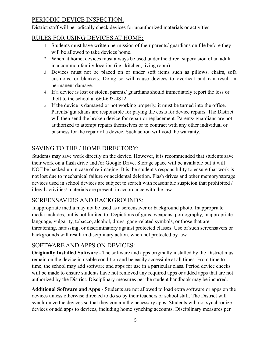#### PERIODIC DEVICE INSPECTION:

District staff will periodically check devices for unauthorized materials or activities.

#### RULES FOR USING DEVICES AT HOME:

- 1. Students must have written permission of their parents/ guardians on file before they will be allowed to take devices home.
- 2. When at home, devices must always be used under the direct supervision of an adult in a common family location (i.e., kitchen, living room).
- 3. Devices must not be placed on or under soft items such as pillows, chairs, sofa cushions, or blankets. Doing so will cause devices to overheat and can result in permanent damage.
- 4. If a device is lost or stolen, parents/ guardians should immediately report the loss or theft to the school at 660-693-4812.
- 5. If the device is damaged or not working properly, it must be turned into the office. Parents/ guardians are responsible for paying the costs for device repairs. The District will then send the broken device for repair or replacement. Parents/ guardians are not authorized to attempt repairs themselves or to contract with any other individual or business for the repair of a device. Such action will void the warranty.

## SAVING TO THE / HOME DIRECTORY:

Students may save work directly on the device. However, it is recommended that students save their work on a flash drive and /or Google Drive. Storage space will be available but it will NOT be backed up in case of re-imaging. It is the student's responsibility to ensure that work is not lost due to mechanical failure or accidental deletion. Flash drives and other memory/storage devices used in school devices are subject to search with reasonable suspicion that prohibited / illegal activities/ materials are present, in accordance with the law.

#### SCREENSAVERS AND BACKGROUNDS:

Inappropriate media may not be used as a screensaver or background photo. Inappropriate media includes, but is not limited to: Depictions of guns, weapons, pornography, inappropriate language, vulgarity, tobacco, alcohol, drugs, gang-related symbols, or those that are threatening, harassing, or discriminatory against protected classes. Use of such screensavers or backgrounds will result in disciplinary action, when not protected by law.

#### SOFTWARE AND APPS ON DEVICES:

**Originally Installed Software** - The software and apps originally installed by the District must remain on the device in usable condition and be easily accessible at all times. From time to time, the school may add software and apps for use in a particular class. Period device checks will be made to ensure students have not removed any required apps or added apps that are not authorized by the District. Disciplinary measures per the student handbook may be incurred.

**Additional Software and Apps** - Students are not allowed to load extra software or apps on the devices unless otherwise directed to do so by their teachers or school staff. The District will synchronize the devices so that they contain the necessary apps. Students will not synchronize devices or add apps to devices, including home synching accounts. Disciplinary measures per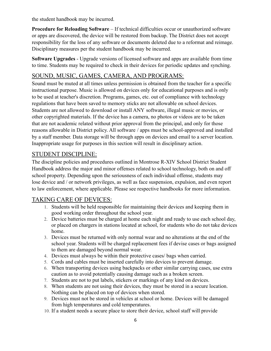the student handbook may be incurred.

**Procedure for Reloading Software** – If technical difficulties occur or unauthorized software or apps are discovered, the device will be restored from backup. The District does not accept responsibility for the loss of any software or documents deleted due to a reformat and reimage. Disciplinary measures per the student handbook may be incurred.

**Software Upgrades** - Upgrade versions of licensed software and apps are available from time to time. Students may be required to check in their devices for periodic updates and synching.

#### SOUND, MUSIC, GAMES, CAMERA, AND PROGRAMS:

Sound must be muted at all times unless permission is obtained from the teacher for a specific instructional purpose. Music is allowed on devices only for educational purposes and is only to be used at teacher's discretion. Programs, games, etc. out of compliance with technology regulations that have been saved to memory sticks are not allowable on school devices. Students are not allowed to download or install ANY software, illegal music or movies, or other copyrighted materials. If the device has a camera, no photos or videos are to be taken that are not academic related without prior approval from the principal, and only for those reasons allowable in District policy. All software / apps must be school-approved and installed by a staff member. Data storage will be through apps on devices and email to a server location. Inappropriate usage for purposes in this section will result in disciplinary action.

#### STUDENT DISCIPLINE:

The discipline policies and procedures outlined in Montrose R-XIV School District Student Handbook address the major and minor offenses related to school technology, both on and off school property. Depending upon the seriousness of each individual offense, students may lose device and / or network privileges, as well as face suspension, expulsion, and even report to law enforcement, where applicable. Please see respective handbooks for more information.

#### TAKING CARE OF DEVICES:

- 1. Students will be held responsible for maintaining their devices and keeping them in good working order throughout the school year.
- 2. Device batteries must be charged at home each night and ready to use each school day, or placed on chargers in stations located at school, for students who do not take devices home.
- 3. Devices must be returned with only normal wear and no alterations at the end of the school year. Students will be charged replacement fees if devise cases or bags assigned to them are damaged beyond normal wear.
- 4. Devices must always be within their protective cases/ bags when carried.
- 5. Cords and cables must be inserted carefully into devices to prevent damage.
- 6. When transporting devices using backpacks or other similar carrying cases, use extra caution as to avoid potentially causing damage such as a broken screen.
- 7. Students are not to put labels, stickers or markings of any kind on devices.
- 8. When students are not using their devices, they must be stored in a secure location. Nothing can be placed on top of devices when stored.
- 9. Devices must not be stored in vehicles at school or home. Devices will be damaged from high temperatures and cold temperatures.
- 10. If a student needs a secure place to store their device, school staff will provide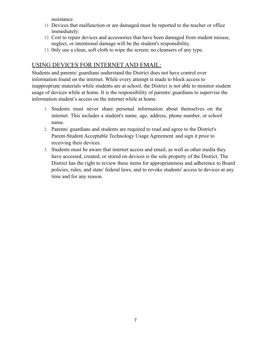assistance.

- 11. Devices that malfunction or are damaged must be reported to the teacher or office immediately.
- 12. Cost to repair devices and accessories that have been damaged from student misuse, neglect, or intentional damage will be the student's responsibility.
- 13. 0nly use a clean, soft cloth to wipe the screen; no cleansers of any type.

#### USING DEVICES FOR INTERNET AND EMAIL:

Students and parents/ guardians understand the District does not have control over information found on the internet. While every attempt is made to block access to inappropriate materials while students are at school, the District is not able to monitor student usage of devices while at home. It is the responsibility of parents/ guardians to supervise the information student's access on the internet while at home.

- 1. Students must never share personal information about themselves on the internet. This includes a student's name, age, address, phone number, or school name.
- 2. Parents/ guardians and students are required to read and agree to the District's Parent-Student Acceptable Technology Usage Agreement and sign it prior to receiving their devices.
- 3. Students must be aware that internet access and email, as well as other media they have accessed, created, or stored on devices is the sole property of the District. The District has the right to review these items for appropriateness and adherence to Board policies, rules, and state/ federal laws, and to revoke students' access to devices at any time and for any reason.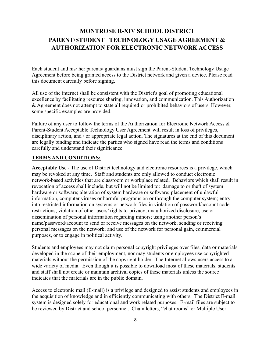## **MONTROSE R-XIV SCHOOL DISTRICT PARENT/STUDENT TECHNOLOGY USAGE AGREEMENT & AUTHORIZATION FOR ELECTRONIC NETWORK ACCESS**

Each student and his/ her parents/ guardians must sign the Parent-Student Technology Usage Agreement before being granted access to the District network and given a device. Please read this document carefully before signing.

All use of the internet shall be consistent with the District's goal of promoting educational excellence by facilitating resource sharing, innovation, and communication. This Authorization & Agreement does not attempt to state all required or prohibited behaviors of users. However, some specific examples are provided.

Failure of any user to follow the terms of the Authorization for Electronic Network Access & Parent-Student Acceptable Technology User Agreement will result in loss of privileges, disciplinary action, and / or appropriate legal action. The signatures at the end of this document are legally binding and indicate the parties who signed have read the terms and conditions carefully and understand their significance.

#### **TERMS AND CONDITIONS:**

**Acceptable Use** - The use of District technology and electronic resources is a privilege, which may be revoked at any time. Staff and students are only allowed to conduct electronic network-based activities that are classroom or workplace related. Behaviors which shall result in revocation of access shall include, but will not be limited to: damage to or theft of system hardware or software; alteration of system hardware or software; placement of unlawful information, computer viruses or harmful programs on or through the computer system; entry into restricted information on systems or network files in violation of password/account code restrictions; violation of other users' rights to privacy; unauthorized disclosure, use or dissemination of personal information regarding minors; using another person's name/password/account to send or receive messages on the network; sending or receiving personal messages on the network; and use of the network for personal gain, commercial purposes, or to engage in political activity.

Students and employees may not claim personal copyright privileges over files, data or materials developed in the scope of their employment, nor may students or employees use copyrighted materials without the permission of the copyright holder. The Internet allows users access to a wide variety of media. Even though it is possible to download most of these materials, students and staff shall not create or maintain archival copies of these materials unless the source indicates that the materials are in the public domain.

Access to electronic mail (E-mail) is a privilege and designed to assist students and employees in the acquisition of knowledge and in efficiently communicating with others. The District E-mail system is designed solely for educational and work related purposes. E-mail files are subject to be reviewed by District and school personnel. Chain letters, "chat rooms" or Multiple User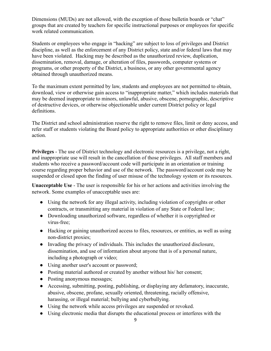Dimensions (MUDs) are not allowed, with the exception of those bulletin boards or "chat" groups that are created by teachers for specific instructional purposes or employees for specific work related communication.

Students or employees who engage in "hacking" are subject to loss of privileges and District discipline, as well as the enforcement of any District policy, state and/or federal laws that may have been violated. Hacking may be described as the unauthorized review, duplication, dissemination, removal, damage, or alteration of files, passwords, computer systems or programs, or other property of the District, a business, or any other governmental agency obtained through unauthorized means.

To the maximum extent permitted by law, students and employees are not permitted to obtain, download, view or otherwise gain access to "inappropriate matter," which includes materials that may be deemed inappropriate to minors, unlawful, abusive, obscene, pornographic, descriptive of destructive devices, or otherwise objectionable under current District policy or legal definitions.

The District and school administration reserve the right to remove files, limit or deny access, and refer staff or students violating the Board policy to appropriate authorities or other disciplinary action.

**Privileges** - The use of District technology and electronic resources is a privilege, not a right, and inappropriate use will result in the cancellation of those privileges. All staff members and students who receive a password/account code will participate in an orientation or training course regarding proper behavior and use of the network. The password/account code may be suspended or closed upon the finding of user misuse of the technology system or its resources.

**Unacceptable Use** - The user is responsible for his or her actions and activities involving the network. Some examples of unacceptable uses are:

- Using the network for any illegal activity, including violation of copyrights or other contracts, or transmitting any material in violation of any State or Federal law;
- Downloading unauthorized software, regardless of whether it is copyrighted or virus-free;
- Hacking or gaining unauthorized access to files, resources, or entities, as well as using non-district proxies;
- Invading the privacy of individuals. This includes the unauthorized disclosure, dissemination, and use of information about anyone that is of a personal nature, including a photograph or video;
- Using another user's account or password;
- Posting material authored or created by another without his/ her consent;
- Posting anonymous messages;
- Accessing, submitting, posting, publishing, or displaying any defamatory, inaccurate, abusive, obscene, profane, sexually oriented, threatening, racially offensive, harassing, or illegal material; bullying and cyberbullying.
- Using the network while access privileges are suspended or revoked.
- Using electronic media that disrupts the educational process or interferes with the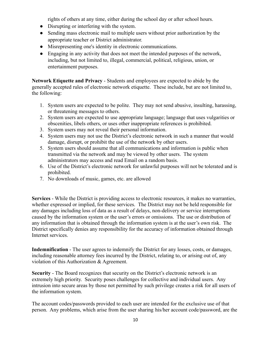rights of others at any time, either during the school day or after school hours.

- Disrupting or interfering with the system.
- Sending mass electronic mail to multiple users without prior authorization by the appropriate teacher or District administrator.
- Misrepresenting one's identity in electronic communications.
- Engaging in any activity that does not meet the intended purposes of the network, including, but not limited to, illegal, commercial, political, religious, union, or entertainment purposes.

**Network Etiquette and Privacy** - Students and employees are expected to abide by the generally accepted rules of electronic network etiquette. These include, but are not limited to, the following:

- 1. System users are expected to be polite. They may not send abusive, insulting, harassing, or threatening messages to others.
- 2. System users are expected to use appropriate language; language that uses vulgarities or obscenities, libels others, or uses other inappropriate references is prohibited.
- 3. System users may not reveal their personal information.
- 4. System users may not use the District's electronic network in such a manner that would damage, disrupt, or prohibit the use of the network by other users.
- 5. System users should assume that all communications and information is public when transmitted via the network and may be viewed by other users. The system administrators may access and read Email on a random basis.
- 6. Use of the District's electronic network for unlawful purposes will not be tolerated and is prohibited.
- 7. No downloads of music, games, etc. are allowed

**Services** - While the District is providing access to electronic resources, it makes no warranties, whether expressed or implied, for these services. The District may not be held responsible for any damages including loss of data as a result of delays, non-delivery or service interruptions caused by the information system or the user's errors or omissions. The use or distribution of any information that is obtained through the information system is at the user's own risk. The District specifically denies any responsibility for the accuracy of information obtained through Internet services.

**Indemnification** - The user agrees to indemnify the District for any losses, costs, or damages, including reasonable attorney fees incurred by the District, relating to, or arising out of, any violation of this Authorization & Agreement.

**Security** - The Board recognizes that security on the District's electronic network is an extremely high priority. Security poses challenges for collective and individual users. Any intrusion into secure areas by those not permitted by such privilege creates a risk for all users of the information system.

The account codes/passwords provided to each user are intended for the exclusive use of that person. Any problems, which arise from the user sharing his/her account code/password, are the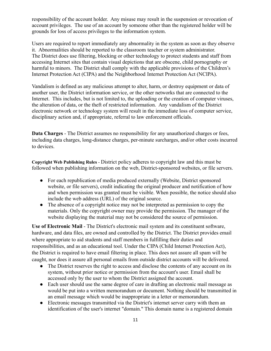responsibility of the account holder. Any misuse may result in the suspension or revocation of account privileges. The use of an account by someone other than the registered holder will be grounds for loss of access privileges to the information system.

Users are required to report immediately any abnormality in the system as soon as they observe it. Abnormalities should be reported to the classroom teacher or system administrator. The District does use filtering, blocking or other technology to protect students and staff from accessing Internet sites that contain visual depictions that are obscene, child pornography or harmful to minors. The District shall comply with the applicable provisions of the Children's Internet Protection Act (CIPA) and the Neighborhood Internet Protection Act (NCIPA).

Vandalism is defined as any malicious attempt to alter, harm, or destroy equipment or data of another user, the District information service, or the other networks that are connected to the Internet. This includes, but is not limited to, the uploading or the creation of computer viruses, the alteration of data, or the theft of restricted information. Any vandalism of the District electronic network or technology system will result in the immediate loss of computer service, disciplinary action and, if appropriate, referral to law enforcement officials.

**Data Charges** - The District assumes no responsibility for any unauthorized charges or fees, including data charges, long-distance charges, per-minute surcharges, and/or other costs incurred to devices.

**Copyright Web Publishing Rules** - District policy adheres to copyright law and this must be followed when publishing information on the web, District-sponsored websites, or file servers.

- For each republication of media produced externally (Website, District sponsored website, or file servers), credit indicating the original producer and notification of how and when permission was granted must be visible. When possible, the notice should also include the web address (URL) of the original source.
- The absence of a copyright notice may not be interpreted as permission to copy the materials. Only the copyright owner may provide the permission. The manager of the website displaying the material may not be considered the source of permission.

**Use of Electronic Mail** - The District's electronic mail system and its constituent software, hardware, and data files, are owned and controlled by the District. The District provides email where appropriate to aid students and staff members in fulfilling their duties and responsibilities, and as an educational tool. Under the CIPA (Child Internet Protection Act), the District is required to have email filtering in place. This does not assure all spam will be caught, nor does it assure all personal emails from outside district accounts will be delivered.

- The District reserves the right to access and disclose the contents of any account on its system, without prior notice or permission from the account's user. Email shall be accessed only by the user to whom the District assigned the account.
- Each user should use the same degree of care in drafting an electronic mail message as would be put into a written memorandum or document. Nothing should be transmitted in an email message which would be inappropriate in a letter or memorandum.
- Electronic messages transmitted via the District's internet server carry with them an identification of the user's internet "domain." This domain name is a registered domain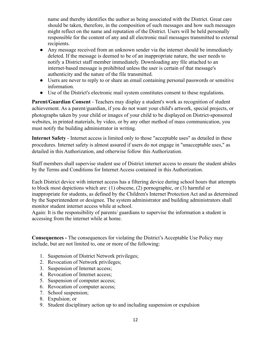name and thereby identifies the author as being associated with the District. Great care should be taken, therefore, in the composition of such messages and how such messages might reflect on the name and reputation of the District. Users will be held personally responsible for the content of any and all electronic mail messages transmitted to external recipients.

- Any message received from an unknown sender via the internet should be immediately deleted. If the message is deemed to be of an inappropriate nature, the user needs to notify a District staff member immediately. Downloading any file attached to an internet-based message is prohibited unless the user is certain of that message's authenticity and the nature of the file transmitted.
- Users are never to reply to or share an email containing personal passwords or sensitive information.
- Use of the District's electronic mail system constitutes consent to these regulations.

**Parent/Guardian Consent** - Teachers may display a student's work as recognition of student achievement. As a parent/guardian, if you do not want your child's artwork, special projects, or photographs taken by your child or images of your child to be displayed on District-sponsored websites, in printed materials, by video, or by any other method of mass communication, you must notify the building administrator in writing.

**Internet Safety** - Internet access is limited only to those "acceptable uses" as detailed in these procedures. Internet safety is almost assured if users do not engage in "unacceptable uses," as detailed in this Authorization, and otherwise follow this Authorization.

Staff members shall supervise student use of District internet access to ensure the student abides by the Terms and Conditions for Internet Access contained in this Authorization.

Each District device with internet access has a filtering device during school hours that attempts to block most depictions which are: (1) obscene, (2) pornographic, or (3) harmful or inappropriate for students, as defined by the Children's Internet Protection Act and as determined by the Superintendent or designee. The system administrator and building administrators shall monitor student internet access while at school.

Again: It is the responsibility of parents/ guardians to supervise the information a student is accessing from the internet while at home.

**Consequences -** The consequences for violating the District's Acceptable Use Policy may include, but are not limited to, one or more of the following:

- 1. Suspension of District Network privileges;
- 2. Revocation of Network privileges;
- 3. Suspension of Internet access;
- 4. Revocation of Internet access;
- 5. Suspension of computer access;
- 6. Revocation of computer access;
- 7. School suspension;
- 8. Expulsion; or
- 9. Student disciplinary action up to and including suspension or expulsion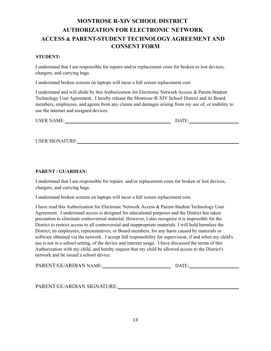## **MONTROSE R-XIV SCHOOL DISTRICT AUTHORIZATION FOR ELECTRONIC NETWORK ACCESS & PARENT-STUDENT TECHNOLOGY AGREEMENT AND CONSENT FORM**

#### **STUDENT:**

I understand that I am responsible for repairs and/or replacement costs for broken or lost devices, chargers, and carrying bags.

I understand broken screens on laptops will incur a full screen replacement cost.

I understand and will abide by this Authorization for Electronic Network Access & Parent-Student Technology User Agreement. I hereby release the Montrose R-XIV School District and its Board members, employees, and agents from any claims and damages arising from my use of, or inability to use the internet and assigned devices.

| <b>USER NAME:</b><br>$\Delta T$ |
|---------------------------------|
|---------------------------------|

USER SIGNATURE:

#### **PARENT / GUARDIAN:**

I understand that I am responsible for repairs and/or replacement costs for broken or lost devices, chargers, and carrying bags.

I understand broken screens on laptops will incur a full screen replacement cost.

I have read this Authorization for Electronic Network Access & Parent-Student Technology User Agreement. I understand access is designed for educational purposes and the District has taken precaution to eliminate controversial material. However, I also recognize it is impossible for the District to restrict access to all controversial and inappropriate materials. I will hold harmless the District, its employees, representatives, or Board members, for any harm caused by materials or software obtained via the network. I accept full responsibility for supervision, if and when my child's use is not in a school setting, of the device and internet usage. I have discussed the terms of this Authorization with my child, and hereby request that my child be allowed access to the District's network and be issued a school device.

| PARENT/GUARDIAN NAME: | DATE. |
|-----------------------|-------|
|-----------------------|-------|

PARENT/GUARDIAN SIGNATURE: